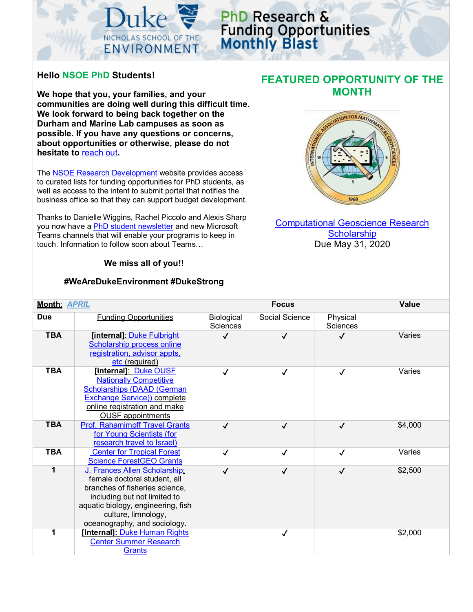

# PhD Research & **Funding Opportunities**<br>Monthly Blast

### **Hello NSOE PhD Students!**

**We hope that you, your families, and your communities are doing well during this difficult time. We look forward to being back together on the Durham and Marine Lab campuses as soon as possible. If you have any questions or concerns, about opportunities or otherwise, please do not hesitate to** [reach out](mailto:snordone@duke.edu)**.** 

The [NSOE Research Development](https://sites.nicholas.duke.edu/nsoeresearchdev/) website provides access to curated lists for funding opportunities for PhD students, as well as access to the intent to submit portal that notifies the business office so that they can support budget development.

Thanks to Danielle Wiggins, Rachel Piccolo and Alexis Sharp you now have a [PhD student newsletter](https://mailchi.mp/duke/phd-student-weekly-roundup-april-1-2020?e=5b81a0e866) and new Microsoft Teams channels that will enable your programs to keep in touch. Information to follow soon about Teams…

#### **We miss all of you!!**

#### **#WeAreDukeEnvironment #DukeStrong**

## **FEATURED OPPORTUNITY OF THE MONTH**



[Computational Geoscience Research](https://iamg.org/student-affairs/student-and-postdoctoral-research-grants/2-uncategorised/168-c-g-grant-guidelines.html)  **[Scholarship](https://iamg.org/student-affairs/student-and-postdoctoral-research-grants/2-uncategorised/168-c-g-grant-guidelines.html)** Due May 31, 2020

| <b>Month: APRIL</b> |                                                                                                                                                                                                                              |                               | <b>Value</b>   |                             |         |
|---------------------|------------------------------------------------------------------------------------------------------------------------------------------------------------------------------------------------------------------------------|-------------------------------|----------------|-----------------------------|---------|
| <b>Due</b>          | <b>Funding Opportunities</b>                                                                                                                                                                                                 | Biological<br><b>Sciences</b> | Social Science | Physical<br><b>Sciences</b> |         |
| <b>TBA</b>          | [internal]: Duke Fulbright<br>Scholarship process online<br>registration, advisor appts,<br>etc (required)                                                                                                                   | ✓                             | J              | $\checkmark$                | Varies  |
| <b>TBA</b>          | [internal] Duke OUSE<br><b>Nationally Competitive</b><br><b>Scholarships (DAAD (German)</b><br><b>Exchange Service)) complete</b><br>online registration and make<br><b>OUSF</b> appointments                                | √                             | √              | $\checkmark$                | Varies  |
| <b>TBA</b>          | <b>Prof. Rahamimoff Travel Grants</b><br>for Young Scientists (for<br>research travel to Israel)                                                                                                                             | √                             | $\checkmark$   | $\checkmark$                | \$4,000 |
| <b>TBA</b>          | <b>Center for Tropical Forest</b><br><b>Science ForestGEO Grants</b>                                                                                                                                                         | ✓                             | $\sqrt{ }$     | $\checkmark$                | Varies  |
| 1                   | J. Frances Allen Scholarship.<br>female doctoral student, all<br>branches of fisheries science,<br>including but not limited to<br>aquatic biology, engineering, fish<br>culture, limnology,<br>oceanography, and sociology. | $\checkmark$                  | $\checkmark$   | $\checkmark$                | \$2,500 |
| 1                   | [Internal]: Duke Human Rights<br><b>Center Summer Research</b><br><b>Grants</b>                                                                                                                                              |                               | $\checkmark$   |                             | \$2,000 |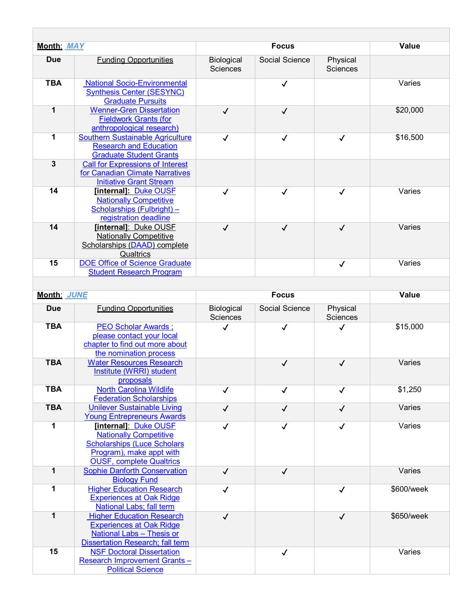| <b>Month: MAY</b>                          |                                                                                                                                                            | <b>Focus</b>                  |                |                      | Value      |  |
|--------------------------------------------|------------------------------------------------------------------------------------------------------------------------------------------------------------|-------------------------------|----------------|----------------------|------------|--|
| <b>Due</b>                                 | <b>Funding Opportunities</b>                                                                                                                               | Biological<br><b>Sciences</b> | Social Science | Physical<br>Sciences |            |  |
| <b>TBA</b>                                 | <b>National Socio-Environmental</b><br><b>Synthesis Center (SESYNC)</b><br><b>Graduate Pursuits</b>                                                        |                               | $\checkmark$   |                      | Varies     |  |
| $\mathbf{1}$                               | <b>Wenner-Gren Dissertation</b><br><b>Fieldwork Grants (for</b><br>anthropological research)                                                               | $\checkmark$                  | $\checkmark$   |                      | \$20,000   |  |
| 1                                          | <b>Southern Sustainable Agriculture</b><br><b>Research and Education</b><br><b>Graduate Student Grants</b>                                                 | $\checkmark$                  | ✓              | $\checkmark$         | \$16,500   |  |
| $\overline{\mathbf{3}}$                    | <b>Call for Expressions of Interest</b><br>for Canadian Climate Narratives<br><b>Initiative Grant Stream</b>                                               |                               |                |                      |            |  |
| 14                                         | [internal]: Duke OUSF<br><b>Nationally Competitive</b><br>Scholarships (Fulbright) $-$<br>registration deadline                                            | $\checkmark$                  | $\checkmark$   | $\checkmark$         | Varies     |  |
| 14                                         | [internal]: Duke OUSF<br><b>Nationally Competitive</b><br>Scholarships (DAAD) complete<br>Qualtrics                                                        | $\checkmark$                  | $\checkmark$   | $\checkmark$         | Varies     |  |
| 15                                         | <b>DOE Office of Science Graduate</b><br><b>Student Research Program</b>                                                                                   |                               |                | $\checkmark$         | Varies     |  |
| Month: JUNE                                |                                                                                                                                                            |                               | <b>Focus</b>   |                      | Value      |  |
| <b>Funding Opportunities</b><br><b>Due</b> |                                                                                                                                                            | Biological                    |                |                      |            |  |
|                                            |                                                                                                                                                            | <b>Sciences</b>               | Social Science | Physical<br>Sciences |            |  |
| <b>TBA</b>                                 | <b>PEO Scholar Awards;</b><br>please contact your local<br>chapter to find out more about<br>the nomination process                                        | ✓                             | ✓              | ✓                    | \$15,000   |  |
| <b>TBA</b>                                 | <b>Water Resources Research</b><br>Institute (WRRI) student<br>proposals                                                                                   |                               | $\checkmark$   | $\checkmark$         | Varies     |  |
| <b>TBA</b>                                 | <b>North Carolina Wildlife</b><br><b>Federation Scholarships</b>                                                                                           | $\checkmark$                  | $\checkmark$   | $\checkmark$         | \$1,250    |  |
| <b>TBA</b>                                 | <b>Unilever Sustainable Living</b><br><b>Young Entrepreneurs Awards</b>                                                                                    | $\checkmark$                  | $\checkmark$   | $\checkmark$         | Varies     |  |
| 1                                          | [internal] Duke OUSF<br><b>Nationally Competitive</b><br><b>Scholarships (Luce Scholars</b><br>Program), make appt with<br><b>OUSF, complete Qualtrics</b> | $\checkmark$                  | $\checkmark$   | $\checkmark$         | Varies     |  |
| 1                                          | <b>Sophie Danforth Conservation</b><br><b>Biology Fund</b>                                                                                                 | $\checkmark$                  | $\checkmark$   |                      | Varies     |  |
| 1                                          | <b>Higher Education Research</b><br><b>Experiences at Oak Ridge</b><br>National Labs; fall term                                                            | $\checkmark$                  |                | $\checkmark$         | \$600/week |  |
| 1                                          | <b>Higher Education Research</b><br><b>Experiences at Oak Ridge</b><br><b>National Labs - Thesis or</b><br><b>Dissertation Research; fall term</b>         | $\checkmark$                  |                | $\checkmark$         | \$650/week |  |
| 15                                         | <b>NSF Doctoral Dissertation</b><br><b>Research Improvement Grants-</b><br><b>Political Science</b>                                                        |                               | $\checkmark$   |                      | Varies     |  |